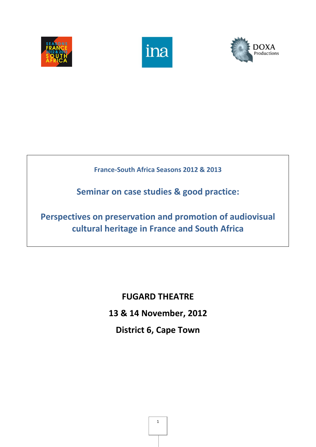





# **France-South Africa Seasons 2012 & 2013**

**Seminar on case studies & good practice:**

**Perspectives on preservation and promotion of audiovisual cultural heritage in France and South Africa** 

> **FUGARD THEATRE 13 & 14 November, 2012 District 6, Cape Town**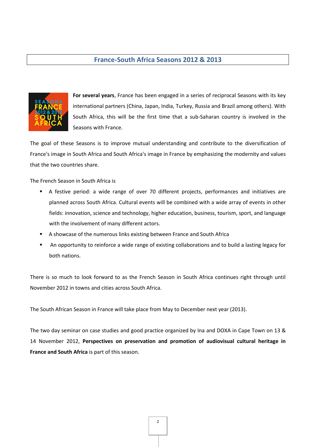## **France-South Africa Seasons 2012 & 2013**



**For several years**, France has been engaged in a series of reciprocal Seasons with its key international partners (China, Japan, India, Turkey, Russia and Brazil among others). With South Africa, this will be the first time that a sub-Saharan country is involved in the Seasons with France.

The goal of these Seasons is to improve mutual understanding and contribute to the diversification of France's image in South Africa and South Africa's image in France by emphasizing the modernity and values that the two countries share.

The French Season in South Africa is

- A festive period: a wide range of over 70 different projects, performances and initiatives are planned across South Africa. Cultural events will be combined with a wide array of events in other fields: innovation, science and technology, higher education, business, tourism, sport, and language with the involvement of many different actors.
- A showcase of the numerous links existing between France and South Africa
- An opportunity to reinforce a wide range of existing collaborations and to build a lasting legacy for both nations.

There is so much to look forward to as the French Season in South Africa continues right through until November 2012 in towns and cities across South Africa.

The South African Season in France will take place from May to December next year (2013).

The two day seminar on case studies and good practice organized by Ina and DOXA in Cape Town on 13 & 14 November 2012, **Perspectives on preservation and promotion of audiovisual cultural heritage in France and South Africa** is part of this season.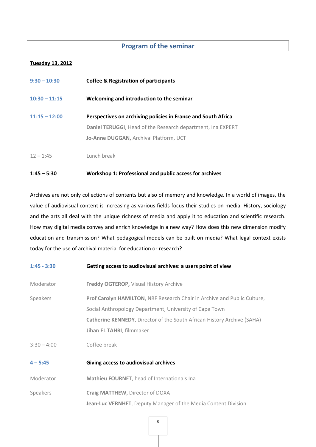# **Program of the seminar**

### **Tuesday 13, 2012**

| $9:30 - 10:30$  | <b>Coffee &amp; Registration of participants</b>                   |
|-----------------|--------------------------------------------------------------------|
| $10:30 - 11:15$ | Welcoming and introduction to the seminar                          |
| $11:15 - 12:00$ | Perspectives on archiving policies in France and South Africa      |
|                 | <b>Daniel TERUGGI, Head of the Research department, Ina EXPERT</b> |
|                 | Jo-Anne DUGGAN, Archival Platform, UCT                             |
| $12 - 1:45$     | Lunch break                                                        |

## **1:45 – 5:30 Workshop 1: Professional and public access for archives**

Archives are not only collections of contents but also of memory and knowledge. In a world of images, the value of audiovisual content is increasing as various fields focus their studies on media. History, sociology and the arts all deal with the unique richness of media and apply it to education and scientific research. How may digital media convey and enrich knowledge in a new way? How does this new dimension modify education and transmission? What pedagogical models can be built on media? What legal context exists today for the use of archival material for education or research?

| $1:45 - 3:30$ | Getting access to audiovisual archives: a users point of view                                                                                                                                                                                      |
|---------------|----------------------------------------------------------------------------------------------------------------------------------------------------------------------------------------------------------------------------------------------------|
| Moderator     | Freddy OGTEROP, Visual History Archive                                                                                                                                                                                                             |
| Speakers      | Prof Carolyn HAMILTON, NRF Research Chair in Archive and Public Culture,<br>Social Anthropology Department, University of Cape Town<br><b>Catherine KENNEDY, Director of the South African History Archive (SAHA)</b><br>Jihan EL TAHRI, filmmaker |
| $3:30 - 4:00$ | Coffee break                                                                                                                                                                                                                                       |
| $4 - 5:45$    | Giving access to audiovisual archives                                                                                                                                                                                                              |
| Moderator     | Mathieu FOURNET, head of Internationals Ina                                                                                                                                                                                                        |
| Speakers      | Craig MATTHEW, Director of DOXA<br>Jean-Luc VERNHET, Deputy Manager of the Media Content Division                                                                                                                                                  |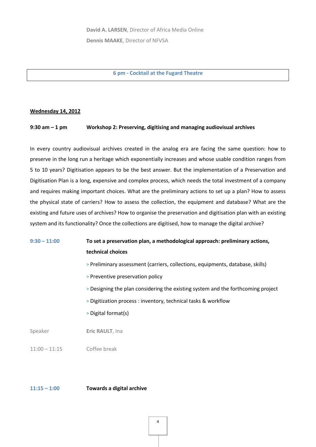**6 pm - Cocktail at the Fugard Theatre**

#### **Wednesday 14, 2012**

#### **9:30 am – 1 pm Workshop 2: Preserving, digitising and managing audiovisual archives**

In every country audiovisual archives created in the analog era are facing the same question: how to preserve in the long run a heritage which exponentially increases and whose usable condition ranges from 5 to 10 years? Digitisation appears to be the best answer. But the implementation of a Preservation and Digitisation Plan is a long, expensive and complex process, which needs the total investment of a company and requires making important choices. What are the preliminary actions to set up a plan? How to assess the physical state of carriers? How to assess the collection, the equipment and database? What are the existing and future uses of archives? How to organise the preservation and digitisation plan with an existing system and its functionality? Once the collections are digitised, how to manage the digital archive?

# **9:30 – 11:00 To set a preservation plan, a methodological approach: preliminary actions, technical choices**

- > Preliminary assessment (carriers, collections, equipments, database, skills)
- > Preventive preservation policy
- > Designing the plan considering the existing system and the forthcoming project
- > Digitization process : inventory, technical tasks & workflow
- > Digital format(s)

Speaker **Eric RAULT**, Ina

11:00 – 11:15 Coffee break

### **11:15 – 1:00 Towards a digital archive**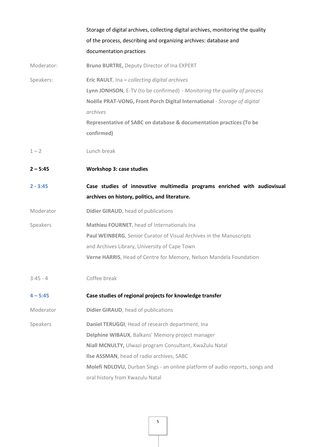|            | Storage of digital archives, collecting digital archives, monitoring the quality<br>of the process, describing and organizing archives: database and<br>documentation practices                                                                                                                        |
|------------|--------------------------------------------------------------------------------------------------------------------------------------------------------------------------------------------------------------------------------------------------------------------------------------------------------|
| Moderator: | Bruno BURTRE, Deputy Director of Ina EXPERT                                                                                                                                                                                                                                                            |
| Speakers:  | Eric RAULT, Ina - collecting digital archives<br>Lynn JONHSON, E-TV (to be confirmed) - Monitoring the quality of process<br>Noëlle PRAT-VONG, Front Porch Digital International - Storage of digital<br>archives<br>Representative of SABC on database & documentation practices (To be<br>confirmed) |
| $1 - 2$    | Lunch break                                                                                                                                                                                                                                                                                            |
| $2 - 5:45$ | <b>Workshop 3: case studies</b>                                                                                                                                                                                                                                                                        |
| $2 - 3:45$ | Case studies of innovative multimedia programs enriched with audiovisual<br>archives on history, politics, and literature.                                                                                                                                                                             |
| Moderator  | Didier GIRAUD, head of publications                                                                                                                                                                                                                                                                    |
| Speakers   | Mathieu FOURNET, head of Internationals Ina<br>Paul WEINBERG, Senior Curator of Visual Archives in the Manuscripts<br>and Archives Library, University of Cape Town<br>Verne HARRIS, Head of Centre for Memory, Nelson Mandela Foundation                                                              |
| $3:45 - 4$ | Coffee break                                                                                                                                                                                                                                                                                           |
| $4 - 5:45$ | Case studies of regional projects for knowledge transfer                                                                                                                                                                                                                                               |
| Moderator  | Didier GIRAUD, head of publications                                                                                                                                                                                                                                                                    |
| Speakers   | Daniel TERUGGI, Head of research department, Ina<br>Delphine WIBAUX, Balkans' Memory project manager<br>Niall MCNULTY, Ulwazi program Consultant, KwaZulu Natal<br>Ilse ASSMAN, head of radio archives, SABC<br>Molefi NDLOVU, Durban Sings - an online platform of audio reports, songs and           |
|            | oral history from Kwazulu Natal                                                                                                                                                                                                                                                                        |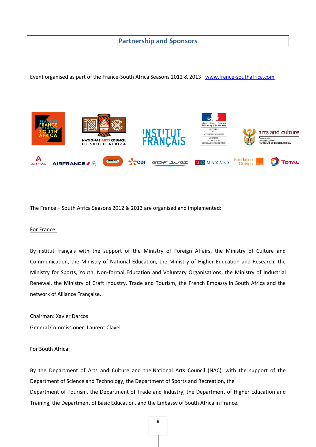## **Partnership and Sponsors**

Event organised as part of the France-South Africa Seasons 2012 & 2013. [www.france-southafrica.com](http://www.france-southafrica.com/)



The France – South Africa Seasons 2012 & 2013 are organised and implemented:

#### For France:

By Institut français with the support of the Ministry of Foreign Affairs, the Ministry of Culture and Communication, the Ministry of National Education, the Ministry of Higher Education and Research, the Ministry for Sports, Youth, Non-formal Education and Voluntary Organisations, the Ministry of Industrial Renewal, the Ministry of Craft Industry, Trade and Tourism, the French Embassy in South Africa and the network of Alliance Française.

Chairman: Xavier Darcos General Commissioner: Laurent Clavel

#### For South Africa:

By the Department of Arts and Culture and the National Arts Council (NAC), with the support of the Department of Science and Technology, the Department of Sports and Recreation, the Department of Tourism, the Department of Trade and Industry, the Department of Higher Education and Training, the Department of Basic Education, and the Embassy of South Africa in France.